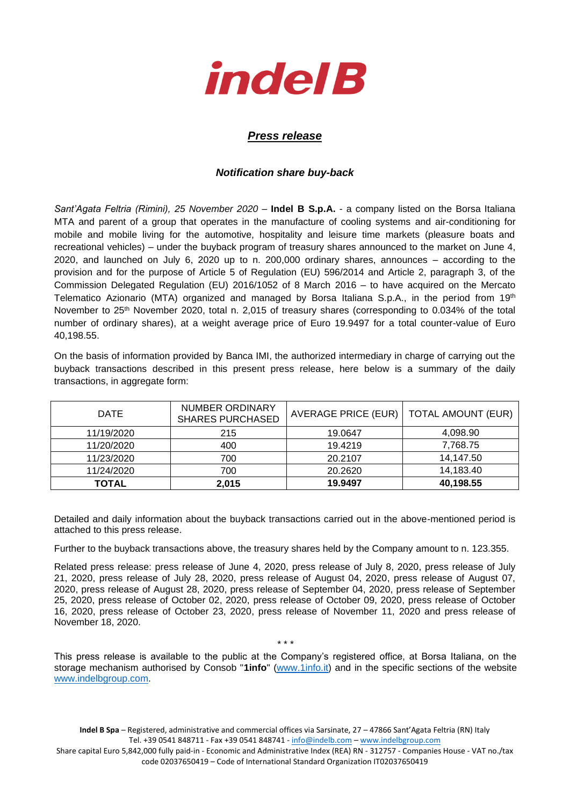

## *Press release*

## *Notification share buy-back*

*Sant'Agata Feltria (Rimini), 25 November 2020* – **Indel B S.p.A.** - a company listed on the Borsa Italiana MTA and parent of a group that operates in the manufacture of cooling systems and air-conditioning for mobile and mobile living for the automotive, hospitality and leisure time markets (pleasure boats and recreational vehicles) – under the buyback program of treasury shares announced to the market on June 4, 2020, and launched on July 6, 2020 up to n. 200,000 ordinary shares, announces – according to the provision and for the purpose of Article 5 of Regulation (EU) 596/2014 and Article 2, paragraph 3, of the Commission Delegated Regulation (EU) 2016/1052 of 8 March 2016 – to have acquired on the Mercato Telematico Azionario (MTA) organized and managed by Borsa Italiana S.p.A., in the period from 19<sup>th</sup> November to 25<sup>th</sup> November 2020, total n. 2,015 of treasury shares (corresponding to 0.034% of the total number of ordinary shares), at a weight average price of Euro 19.9497 for a total counter-value of Euro 40,198.55.

On the basis of information provided by Banca IMI, the authorized intermediary in charge of carrying out the buyback transactions described in this present press release, here below is a summary of the daily transactions, in aggregate form:

| DATE         | NUMBER ORDINARY<br><b>SHARES PURCHASED</b> | AVERAGE PRICE (EUR)   TOTAL AMOUNT (EUR) |           |
|--------------|--------------------------------------------|------------------------------------------|-----------|
| 11/19/2020   | 215                                        | 19.0647                                  | 4,098.90  |
| 11/20/2020   | 400                                        | 19.4219                                  | 7.768.75  |
| 11/23/2020   | 700                                        | 20.2107                                  | 14.147.50 |
| 11/24/2020   | 700                                        | 20.2620                                  | 14,183.40 |
| <b>TOTAL</b> | 2,015                                      | 19.9497                                  | 40,198.55 |

Detailed and daily information about the buyback transactions carried out in the above-mentioned period is attached to this press release.

Further to the buyback transactions above, the treasury shares held by the Company amount to n. 123.355.

Related press release: press release of June 4, 2020, press release of July 8, 2020, press release of July 21, 2020, press release of July 28, 2020, press release of August 04, 2020, press release of August 07, 2020, press release of August 28, 2020, press release of September 04, 2020, press release of September 25, 2020, press release of October 02, 2020, press release of October 09, 2020, press release of October 16, 2020, press release of October 23, 2020, press release of November 11, 2020 and press release of November 18, 2020.

This press release is available to the public at the Company's registered office, at Borsa Italiana, on the storage mechanism authorised by Consob "**1info**" [\(www.1info.it\)](file:///C:/Users/ddelietovollaro/AppData/Local/Microsoft/Windows/INetCache/Content.Outlook/T87B94UR/www.1info.it) and in the specific sections of the website [www.indelbgroup.com.](http://www.indelbgroup.com/)

\* \* \*

**Indel B Spa** – Registered, administrative and commercial offices via Sarsinate, 27 – 47866 Sant'Agata Feltria (RN) Italy Tel. +39 0541 848711 - Fax +39 0541 848741 - [info@indelb.com](mailto:info@indelb.com) – [www.indelbgroup.com](http://www.indelbgroup.com/)

Share capital Euro 5,842,000 fully paid-in - Economic and Administrative Index (REA) RN - 312757 - Companies House - VAT no./tax code 02037650419 – Code of International Standard Organization IT02037650419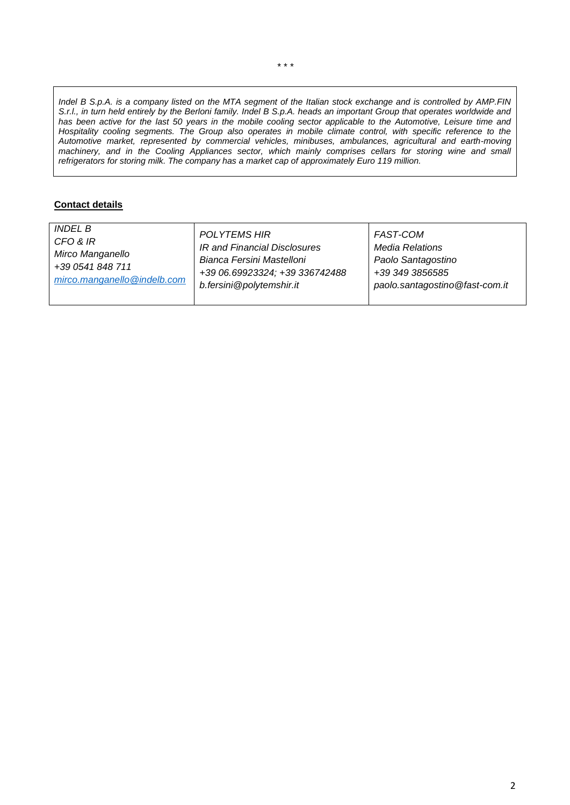*Indel B S.p.A. is a company listed on the MTA segment of the Italian stock exchange and is controlled by AMP.FIN S.r.l., in turn held entirely by the Berloni family. Indel B S.p.A. heads an important Group that operates worldwide and has been active for the last 50 years in the mobile cooling sector applicable to the Automotive, Leisure time and Hospitality cooling segments. The Group also operates in mobile climate control, with specific reference to the Automotive market, represented by commercial vehicles, minibuses, ambulances, agricultural and earth-moving machinery, and in the Cooling Appliances sector, which mainly comprises cellars for storing wine and small refrigerators for storing milk. The company has a market cap of approximately Euro 119 million.*

## **Contact details**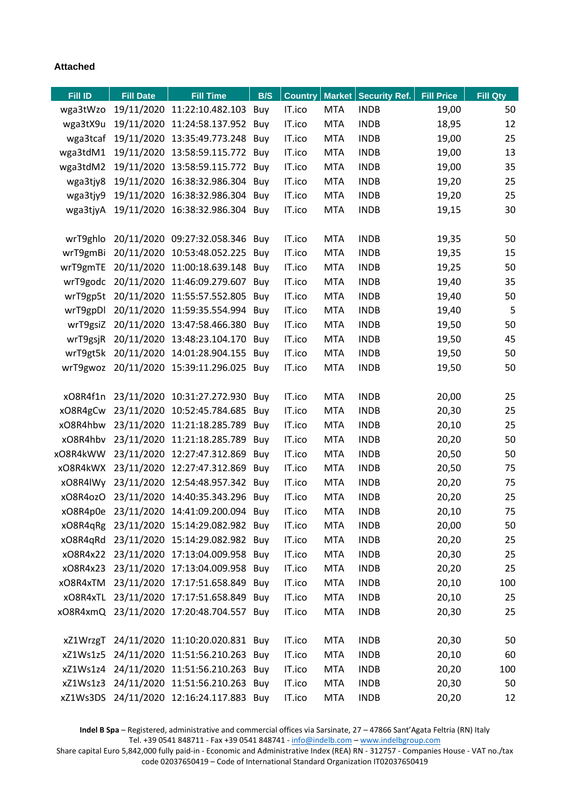## **Attached**

| Fill ID  | <b>Fill Date</b> | <b>Fill Time</b>                         | B/S | <b>Country</b> |            | Market   Security Ref. | <b>Fill Price</b> | <b>Fill Qty</b> |
|----------|------------------|------------------------------------------|-----|----------------|------------|------------------------|-------------------|-----------------|
| wga3tWzo |                  | 19/11/2020 11:22:10.482.103 Buy          |     | IT.ico         | <b>MTA</b> | <b>INDB</b>            | 19,00             | 50              |
| wga3tX9u |                  | 19/11/2020 11:24:58.137.952 Buy          |     | IT.ico         | <b>MTA</b> | <b>INDB</b>            | 18,95             | 12              |
| wga3tcaf |                  | 19/11/2020 13:35:49.773.248 Buy          |     | IT.ico         | <b>MTA</b> | <b>INDB</b>            | 19,00             | 25              |
| wga3tdM1 |                  | 19/11/2020 13:58:59.115.772 Buy          |     | IT.ico         | <b>MTA</b> | <b>INDB</b>            | 19,00             | 13              |
| wga3tdM2 |                  | 19/11/2020 13:58:59.115.772 Buy          |     | IT.ico         | <b>MTA</b> | <b>INDB</b>            | 19,00             | 35              |
| wga3tjy8 |                  | 19/11/2020 16:38:32.986.304 Buy          |     | IT.ico         | <b>MTA</b> | <b>INDB</b>            | 19,20             | 25              |
| wga3tjy9 |                  | 19/11/2020 16:38:32.986.304 Buy          |     | IT.ico         | <b>MTA</b> | <b>INDB</b>            | 19,20             | 25              |
| wga3tjyA |                  | 19/11/2020 16:38:32.986.304 Buy          |     | IT.ico         | <b>MTA</b> | <b>INDB</b>            | 19,15             | 30              |
|          |                  |                                          |     |                |            |                        |                   |                 |
| wrT9ghlo |                  | 20/11/2020 09:27:32.058.346 Buy          |     | IT.ico         | <b>MTA</b> | <b>INDB</b>            | 19,35             | 50              |
| wrT9gmBi |                  | 20/11/2020 10:53:48.052.225 Buy          |     | IT.ico         | <b>MTA</b> | <b>INDB</b>            | 19,35             | 15              |
| wrT9gmTE |                  | 20/11/2020 11:00:18.639.148 Buy          |     | IT.ico         | <b>MTA</b> | <b>INDB</b>            | 19,25             | 50              |
| wrT9godc |                  | 20/11/2020 11:46:09.279.607 Buy          |     | IT.ico         | <b>MTA</b> | <b>INDB</b>            | 19,40             | 35              |
| wrT9gp5t |                  | 20/11/2020 11:55:57.552.805 Buy          |     | IT.ico         | <b>MTA</b> | <b>INDB</b>            | 19,40             | 50              |
| wrT9gpDl |                  | 20/11/2020 11:59:35.554.994 Buy          |     | IT.ico         | <b>MTA</b> | <b>INDB</b>            | 19,40             | 5               |
| wrT9gsiZ |                  | 20/11/2020 13:47:58.466.380 Buy          |     | IT.ico         | <b>MTA</b> | <b>INDB</b>            | 19,50             | 50              |
| wrT9gsjR |                  | 20/11/2020 13:48:23.104.170 Buy          |     | IT.ico         | <b>MTA</b> | <b>INDB</b>            | 19,50             | 45              |
|          |                  | wrT9gt5k 20/11/2020 14:01:28.904.155 Buy |     | IT.ico         | <b>MTA</b> | <b>INDB</b>            | 19,50             | 50              |
| wrT9gwoz |                  | 20/11/2020 15:39:11.296.025 Buy          |     | IT.ico         | <b>MTA</b> | <b>INDB</b>            | 19,50             | 50              |
|          |                  |                                          |     |                |            |                        |                   |                 |
| xO8R4f1n |                  | 23/11/2020 10:31:27.272.930 Buy          |     | IT.ico         | <b>MTA</b> | <b>INDB</b>            | 20,00             | 25              |
| xO8R4gCw |                  | 23/11/2020 10:52:45.784.685 Buy          |     | IT.ico         | <b>MTA</b> | <b>INDB</b>            | 20,30             | 25              |
| xO8R4hbw |                  | 23/11/2020 11:21:18.285.789 Buy          |     | IT.ico         | <b>MTA</b> | <b>INDB</b>            | 20,10             | 25              |
| xO8R4hbv |                  | 23/11/2020 11:21:18.285.789 Buy          |     | IT.ico         | <b>MTA</b> | <b>INDB</b>            | 20,20             | 50              |
| xO8R4kWW |                  | 23/11/2020 12:27:47.312.869              | Buy | IT.ico         | <b>MTA</b> | <b>INDB</b>            | 20,50             | 50              |
| xO8R4kWX |                  | 23/11/2020 12:27:47.312.869 Buy          |     | IT.ico         | <b>MTA</b> | <b>INDB</b>            | 20,50             | 75              |
| xO8R4lWy |                  | 23/11/2020 12:54:48.957.342 Buy          |     | IT.ico         | <b>MTA</b> | <b>INDB</b>            | 20,20             | 75              |
| xO8R4ozO |                  | 23/11/2020 14:40:35.343.296 Buy          |     | IT.ico         | <b>MTA</b> | <b>INDB</b>            | 20,20             | 25              |
|          |                  | xO8R4p0e 23/11/2020 14:41:09.200.094 Buy |     | IT.ico         | <b>MTA</b> | <b>INDB</b>            | 20,10             | 75              |
|          |                  | xO8R4qRg 23/11/2020 15:14:29.082.982 Buy |     | IT.ico         | <b>MTA</b> | <b>INDB</b>            | 20,00             | 50              |
|          |                  | xO8R4qRd 23/11/2020 15:14:29.082.982 Buy |     | IT.ico         | <b>MTA</b> | <b>INDB</b>            | 20,20             | 25              |
|          |                  | xO8R4x22 23/11/2020 17:13:04.009.958 Buy |     | IT.ico         | <b>MTA</b> | <b>INDB</b>            | 20,30             | 25              |
|          |                  | xO8R4x23 23/11/2020 17:13:04.009.958 Buy |     | IT.ico         | <b>MTA</b> | <b>INDB</b>            | 20,20             | 25              |
|          |                  | xO8R4xTM 23/11/2020 17:17:51.658.849 Buy |     | IT.ico         | <b>MTA</b> | <b>INDB</b>            | 20,10             | 100             |
|          |                  | xO8R4xTL 23/11/2020 17:17:51.658.849 Buy |     | IT.ico         | <b>MTA</b> | <b>INDB</b>            | 20,10             | 25              |
|          |                  | xO8R4xmQ 23/11/2020 17:20:48.704.557 Buy |     | IT.ico         | <b>MTA</b> | <b>INDB</b>            | 20,30             | 25              |
|          |                  |                                          |     |                |            |                        |                   |                 |
|          |                  | xZ1WrzgT 24/11/2020 11:10:20.020.831 Buy |     | IT.ico         | <b>MTA</b> | <b>INDB</b>            | 20,30             | 50              |
| xZ1Ws1z5 |                  | 24/11/2020 11:51:56.210.263 Buy          |     | IT.ico         | <b>MTA</b> | <b>INDB</b>            | 20,10             | 60              |
|          |                  | xZ1Ws1z4 24/11/2020 11:51:56.210.263 Buy |     | IT.ico         | <b>MTA</b> | <b>INDB</b>            | 20,20             | 100             |
|          |                  | xZ1Ws1z3 24/11/2020 11:51:56.210.263 Buy |     | IT.ico         | <b>MTA</b> | <b>INDB</b>            | 20,30             | 50              |
|          |                  | xZ1Ws3DS 24/11/2020 12:16:24.117.883 Buy |     | IT.ico         | <b>MTA</b> | <b>INDB</b>            | 20,20             | 12              |

**Indel B Spa** – Registered, administrative and commercial offices via Sarsinate, 27 – 47866 Sant'Agata Feltria (RN) Italy Tel. +39 0541 848711 - Fax +39 0541 848741 - [info@indelb.com](mailto:info@indelb.com) – [www.indelbgroup.com](http://www.indelbgroup.com/)

Share capital Euro 5,842,000 fully paid-in - Economic and Administrative Index (REA) RN - 312757 - Companies House - VAT no./tax code 02037650419 – Code of International Standard Organization IT02037650419